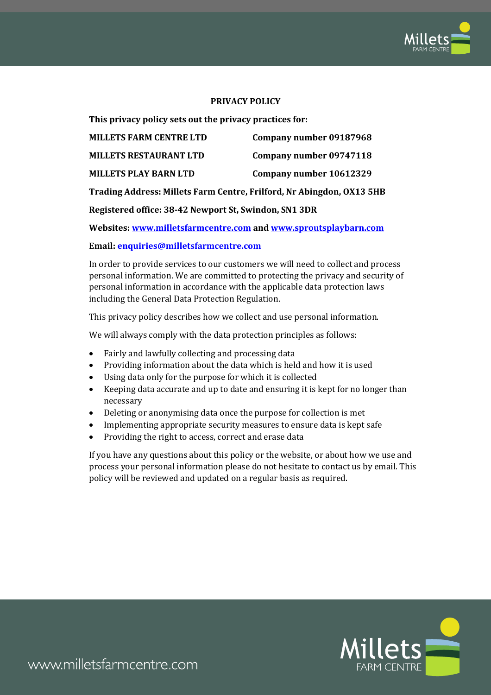

#### **PRIVACY POLICY**

**This privacy policy sets out the privacy practices for:**

| <b>MILLETS FARM CENTRE LTD</b>                                        | Company number 09187968 |
|-----------------------------------------------------------------------|-------------------------|
| <b>MILLETS RESTAURANT LTD</b>                                         | Company number 09747118 |
| <b>MILLETS PLAY BARN LTD</b>                                          | Company number 10612329 |
| Trading Address: Millets Farm Centre, Frilford, Nr Abingdon, OX13 5HB |                         |
| Registered office: 38-42 Newport St, Swindon, SN1 3DR                 |                         |

**Websites[: www.milletsfarmcentre.com](http://www.milletsfarmcentre.com/) and [www.sproutsplaybarn.com](http://www.sproutsplaybarn.com/)**

**Email: [enquiries@milletsfarmcentre.com](mailto:enquiries@milletsfarmcentre.com)**

In order to provide services to our customers we will need to collect and process personal information. We are committed to protecting the privacy and security of personal information in accordance with the applicable data protection laws including the General Data Protection Regulation.

This privacy policy describes how we collect and use personal information.

We will always comply with the data protection principles as follows:

- Fairly and lawfully collecting and processing data
- Providing information about the data which is held and how it is used
- Using data only for the purpose for which it is collected
- Keeping data accurate and up to date and ensuring it is kept for no longer than necessary
- Deleting or anonymising data once the purpose for collection is met
- Implementing appropriate security measures to ensure data is kept safe
- Providing the right to access, correct and erase data

If you have any questions about this policy or the website, or about how we use and process your personal information please do not hesitate to contact us by email. This policy will be reviewed and updated on a regular basis as required.

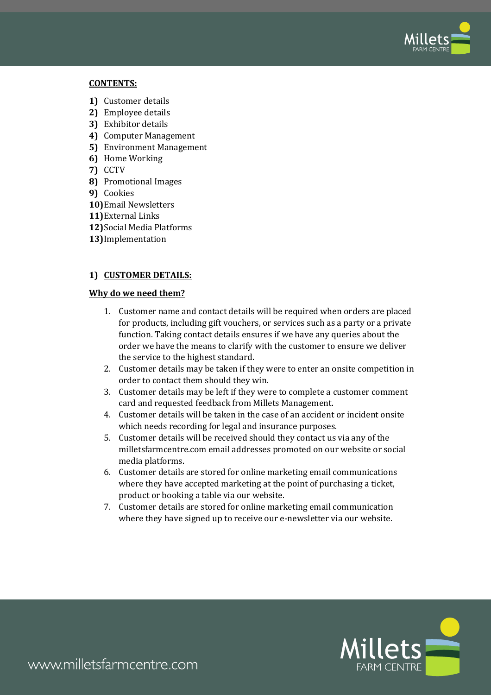

#### **CONTENTS:**

- **1)** Customer details
- **2)** Employee details
- **3)** Exhibitor details
- **4)** Computer Management
- **5)** Environment Management
- **6)** Home Working
- **7)** CCTV
- **8)** Promotional Images
- **9)** Cookies
- **10)**Email Newsletters
- **11)**External Links
- **12)**Social Media Platforms
- **13)**Implementation

## **1) CUSTOMER DETAILS:**

#### **Why do we need them?**

- 1. Customer name and contact details will be required when orders are placed for products, including gift vouchers, or services such as a party or a private function. Taking contact details ensures if we have any queries about the order we have the means to clarify with the customer to ensure we deliver the service to the highest standard.
- 2. Customer details may be taken if they were to enter an onsite competition in order to contact them should they win.
- 3. Customer details may be left if they were to complete a customer comment card and requested feedback from Millets Management.
- 4. Customer details will be taken in the case of an accident or incident onsite which needs recording for legal and insurance purposes.
- 5. Customer details will be received should they contact us via any of the milletsfarmcentre.com email addresses promoted on our website or social media platforms.
- 6. Customer details are stored for online marketing email communications where they have accepted marketing at the point of purchasing a ticket, product or booking a table via our website.
- 7. Customer details are stored for online marketing email communication where they have signed up to receive our e-newsletter via our website.

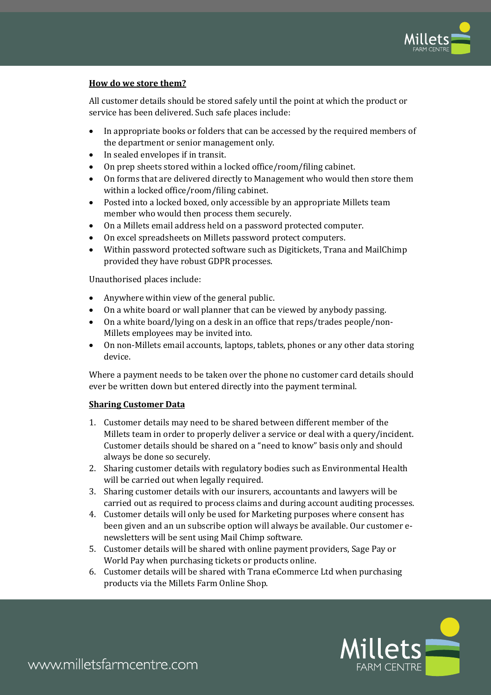

## **How do we store them?**

All customer details should be stored safely until the point at which the product or service has been delivered. Such safe places include:

- In appropriate books or folders that can be accessed by the required members of the department or senior management only.
- In sealed envelopes if in transit.
- On prep sheets stored within a locked office/room/filing cabinet.
- On forms that are delivered directly to Management who would then store them within a locked office/room/filing cabinet.
- Posted into a locked boxed, only accessible by an appropriate Millets team member who would then process them securely.
- On a Millets email address held on a password protected computer.
- On excel spreadsheets on Millets password protect computers.
- Within password protected software such as Digitickets, Trana and MailChimp provided they have robust GDPR processes.

Unauthorised places include:

- Anywhere within view of the general public.
- On a white board or wall planner that can be viewed by anybody passing.
- On a white board/lying on a desk in an office that reps/trades people/non-Millets employees may be invited into.
- On non-Millets email accounts, laptops, tablets, phones or any other data storing device.

Where a payment needs to be taken over the phone no customer card details should ever be written down but entered directly into the payment terminal.

#### **Sharing Customer Data**

- 1. Customer details may need to be shared between different member of the Millets team in order to properly deliver a service or deal with a query/incident. Customer details should be shared on a "need to know" basis only and should always be done so securely.
- 2. Sharing customer details with regulatory bodies such as Environmental Health will be carried out when legally required.
- 3. Sharing customer details with our insurers, accountants and lawyers will be carried out as required to process claims and during account auditing processes.
- 4. Customer details will only be used for Marketing purposes where consent has been given and an un subscribe option will always be available. Our customer enewsletters will be sent using Mail Chimp software.
- 5. Customer details will be shared with online payment providers, Sage Pay or World Pay when purchasing tickets or products online.
- 6. Customer details will be shared with Trana eCommerce Ltd when purchasing products via the Millets Farm Online Shop.

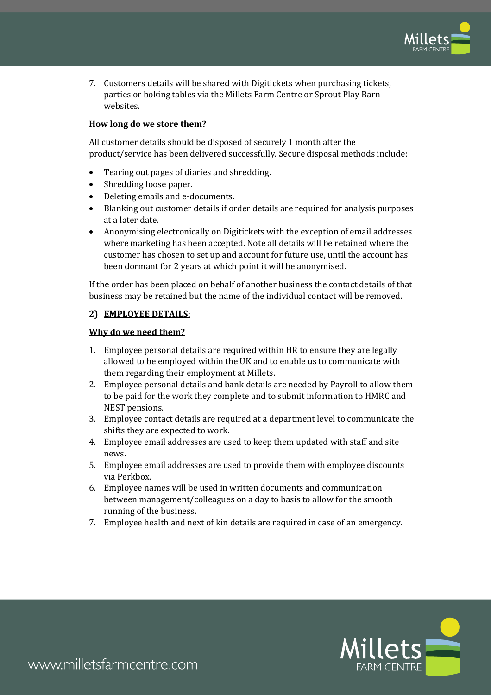

7. Customers details will be shared with Digitickets when purchasing tickets, parties or boking tables via the Millets Farm Centre or Sprout Play Barn websites.

## **How long do we store them?**

All customer details should be disposed of securely 1 month after the product/service has been delivered successfully. Secure disposal methods include:

- Tearing out pages of diaries and shredding.
- Shredding loose paper.
- Deleting emails and e-documents.
- Blanking out customer details if order details are required for analysis purposes at a later date.
- Anonymising electronically on Digitickets with the exception of email addresses where marketing has been accepted. Note all details will be retained where the customer has chosen to set up and account for future use, until the account has been dormant for 2 years at which point it will be anonymised.

If the order has been placed on behalf of another business the contact details of that business may be retained but the name of the individual contact will be removed.

#### **2) EMPLOYEE DETAILS:**

#### **Why do we need them?**

- 1. Employee personal details are required within HR to ensure they are legally allowed to be employed within the UK and to enable us to communicate with them regarding their employment at Millets.
- 2. Employee personal details and bank details are needed by Payroll to allow them to be paid for the work they complete and to submit information to HMRC and NEST pensions.
- 3. Employee contact details are required at a department level to communicate the shifts they are expected to work.
- 4. Employee email addresses are used to keep them updated with staff and site news.
- 5. Employee email addresses are used to provide them with employee discounts via Perkbox.
- 6. Employee names will be used in written documents and communication between management/colleagues on a day to basis to allow for the smooth running of the business.
- 7. Employee health and next of kin details are required in case of an emergency.

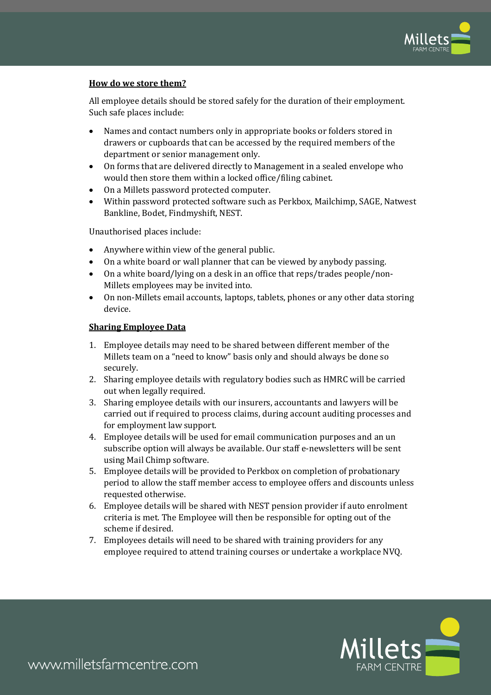

## **How do we store them?**

All employee details should be stored safely for the duration of their employment. Such safe places include:

- Names and contact numbers only in appropriate books or folders stored in drawers or cupboards that can be accessed by the required members of the department or senior management only.
- On forms that are delivered directly to Management in a sealed envelope who would then store them within a locked office/filing cabinet.
- On a Millets password protected computer.
- Within password protected software such as Perkbox, Mailchimp, SAGE, Natwest Bankline, Bodet, Findmyshift, NEST.

Unauthorised places include:

- Anywhere within view of the general public.
- On a white board or wall planner that can be viewed by anybody passing.
- On a white board/lying on a desk in an office that reps/trades people/non-Millets employees may be invited into.
- On non-Millets email accounts, laptops, tablets, phones or any other data storing device.

#### **Sharing Employee Data**

- 1. Employee details may need to be shared between different member of the Millets team on a "need to know" basis only and should always be done so securely.
- 2. Sharing employee details with regulatory bodies such as HMRC will be carried out when legally required.
- 3. Sharing employee details with our insurers, accountants and lawyers will be carried out if required to process claims, during account auditing processes and for employment law support.
- 4. Employee details will be used for email communication purposes and an un subscribe option will always be available. Our staff e-newsletters will be sent using Mail Chimp software.
- 5. Employee details will be provided to Perkbox on completion of probationary period to allow the staff member access to employee offers and discounts unless requested otherwise.
- 6. Employee details will be shared with NEST pension provider if auto enrolment criteria is met. The Employee will then be responsible for opting out of the scheme if desired.
- 7. Employees details will need to be shared with training providers for any employee required to attend training courses or undertake a workplace NVQ.

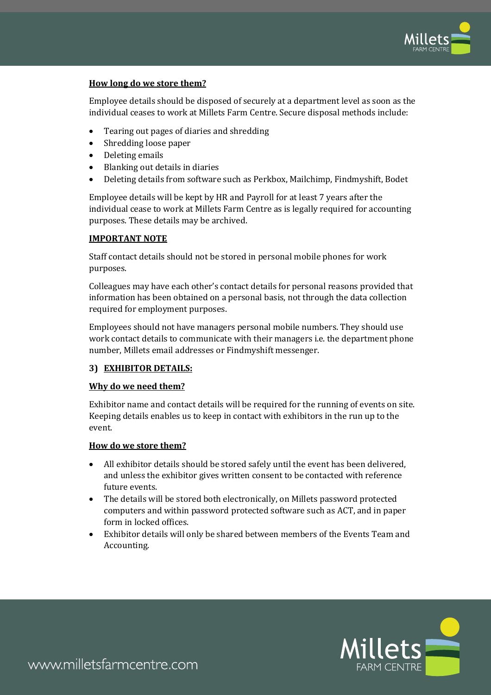

## **How long do we store them?**

Employee details should be disposed of securely at a department level as soon as the individual ceases to work at Millets Farm Centre. Secure disposal methods include:

- Tearing out pages of diaries and shredding
- Shredding loose paper
- Deleting emails
- Blanking out details in diaries
- Deleting details from software such as Perkbox, Mailchimp, Findmyshift, Bodet

Employee details will be kept by HR and Payroll for at least 7 years after the individual cease to work at Millets Farm Centre as is legally required for accounting purposes. These details may be archived.

## **IMPORTANT NOTE**

Staff contact details should not be stored in personal mobile phones for work purposes.

Colleagues may have each other's contact details for personal reasons provided that information has been obtained on a personal basis, not through the data collection required for employment purposes.

Employees should not have managers personal mobile numbers. They should use work contact details to communicate with their managers i.e. the department phone number, Millets email addresses or Findmyshift messenger.

#### **3) EXHIBITOR DETAILS:**

#### **Why do we need them?**

Exhibitor name and contact details will be required for the running of events on site. Keeping details enables us to keep in contact with exhibitors in the run up to the event.

#### **How do we store them?**

- All exhibitor details should be stored safely until the event has been delivered, and unless the exhibitor gives written consent to be contacted with reference future events.
- The details will be stored both electronically, on Millets password protected computers and within password protected software such as ACT, and in paper form in locked offices.
- Exhibitor details will only be shared between members of the Events Team and Accounting.

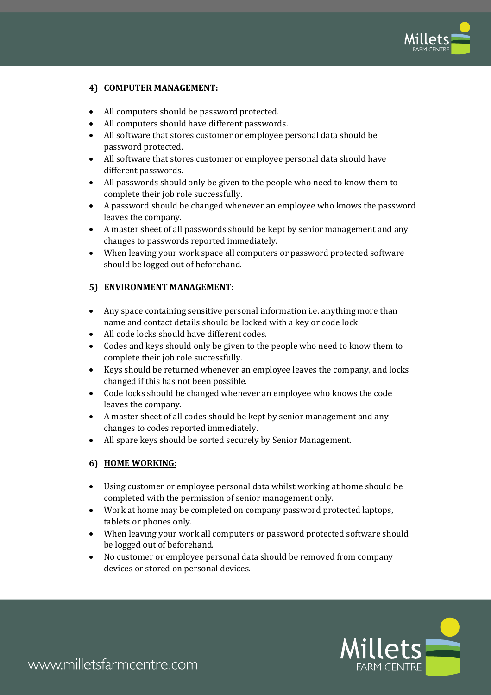

## **4) COMPUTER MANAGEMENT:**

- All computers should be password protected.
- All computers should have different passwords.
- All software that stores customer or employee personal data should be password protected.
- All software that stores customer or employee personal data should have different passwords.
- All passwords should only be given to the people who need to know them to complete their job role successfully.
- A password should be changed whenever an employee who knows the password leaves the company.
- A master sheet of all passwords should be kept by senior management and any changes to passwords reported immediately.
- When leaving your work space all computers or password protected software should be logged out of beforehand.

## **5) ENVIRONMENT MANAGEMENT:**

- Any space containing sensitive personal information i.e. anything more than name and contact details should be locked with a key or code lock.
- All code locks should have different codes.
- Codes and keys should only be given to the people who need to know them to complete their job role successfully.
- Keys should be returned whenever an employee leaves the company, and locks changed if this has not been possible.
- Code locks should be changed whenever an employee who knows the code leaves the company.
- A master sheet of all codes should be kept by senior management and any changes to codes reported immediately.
- All spare keys should be sorted securely by Senior Management.

## **6) HOME WORKING:**

- Using customer or employee personal data whilst working at home should be completed with the permission of senior management only.
- Work at home may be completed on company password protected laptops, tablets or phones only.
- When leaving your work all computers or password protected software should be logged out of beforehand.
- No customer or employee personal data should be removed from company devices or stored on personal devices.

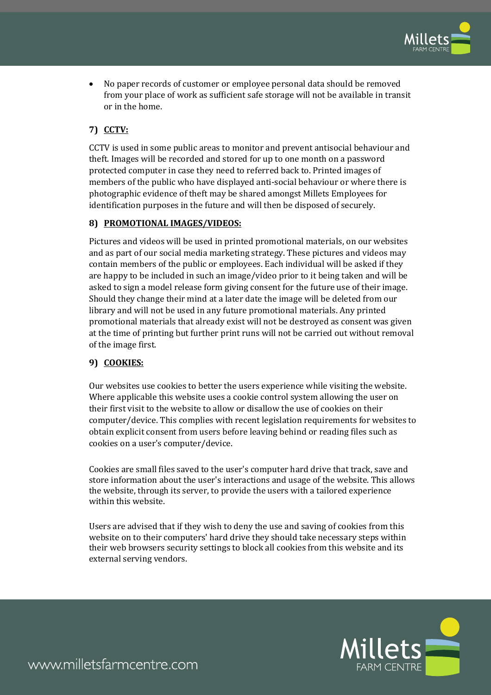

• No paper records of customer or employee personal data should be removed from your place of work as sufficient safe storage will not be available in transit or in the home.

# **7) CCTV:**

CCTV is used in some public areas to monitor and prevent antisocial behaviour and theft. Images will be recorded and stored for up to one month on a password protected computer in case they need to referred back to. Printed images of members of the public who have displayed anti-social behaviour or where there is photographic evidence of theft may be shared amongst Millets Employees for identification purposes in the future and will then be disposed of securely.

## **8) PROMOTIONAL IMAGES/VIDEOS:**

Pictures and videos will be used in printed promotional materials, on our websites and as part of our social media marketing strategy. These pictures and videos may contain members of the public or employees. Each individual will be asked if they are happy to be included in such an image/video prior to it being taken and will be asked to sign a model release form giving consent for the future use of their image. Should they change their mind at a later date the image will be deleted from our library and will not be used in any future promotional materials. Any printed promotional materials that already exist will not be destroyed as consent was given at the time of printing but further print runs will not be carried out without removal of the image first.

## **9) COOKIES:**

Our websites use cookies to better the users experience while visiting the website. Where applicable this website uses a cookie control system allowing the user on their first visit to the website to allow or disallow the use of cookies on their computer/device. This complies with recent legislation requirements for websites to obtain explicit consent from users before leaving behind or reading files such as cookies on a user's computer/device.

Cookies are small files saved to the user's computer hard drive that track, save and store information about the user's interactions and usage of the website. This allows the website, through its server, to provide the users with a tailored experience within this website.

Users are advised that if they wish to deny the use and saving of cookies from this website on to their computers' hard drive they should take necessary steps within their web browsers security settings to block all cookies from this website and its external serving vendors.



www.milletsfarmcentre.com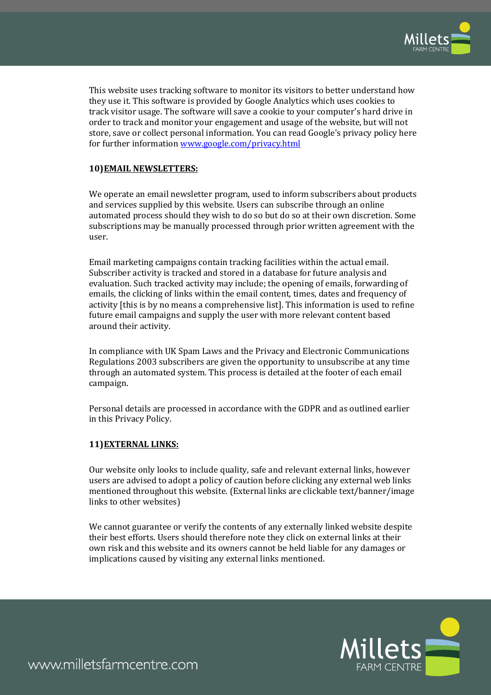

This website uses tracking software to monitor its visitors to better understand how they use it. This software is provided by Google Analytics which uses cookies to track visitor usage. The software will save a cookie to your computer's hard drive in order to track and monitor your engagement and usage of the website, but will not store, save or collect personal information. You can read Google's privacy policy here for further informatio[n www.google.com/privacy.html](http://www.google.com/privacy.html)

## **10)EMAIL NEWSLETTERS:**

We operate an email newsletter program, used to inform subscribers about products and services supplied by this website. Users can subscribe through an online automated process should they wish to do so but do so at their own discretion. Some subscriptions may be manually processed through prior written agreement with the user.

Email marketing campaigns contain tracking facilities within the actual email. Subscriber activity is tracked and stored in a database for future analysis and evaluation. Such tracked activity may include; the opening of emails, forwarding of emails, the clicking of links within the email content, times, dates and frequency of activity [this is by no means a comprehensive list]. This information is used to refine future email campaigns and supply the user with more relevant content based around their activity.

In compliance with UK Spam Laws and the Privacy and Electronic Communications Regulations 2003 subscribers are given the opportunity to unsubscribe at any time through an automated system. This process is detailed at the footer of each email campaign.

Personal details are processed in accordance with the GDPR and as outlined earlier in this Privacy Policy.

#### **11)EXTERNAL LINKS:**

Our website only looks to include quality, safe and relevant external links, however users are advised to adopt a policy of caution before clicking any external web links mentioned throughout this website. (External links are clickable text/banner/image links to other websites)

We cannot guarantee or verify the contents of any externally linked website despite their best efforts. Users should therefore note they click on external links at their own risk and this website and its owners cannot be held liable for any damages or implications caused by visiting any external links mentioned.



www.milletsfarmcentre.com